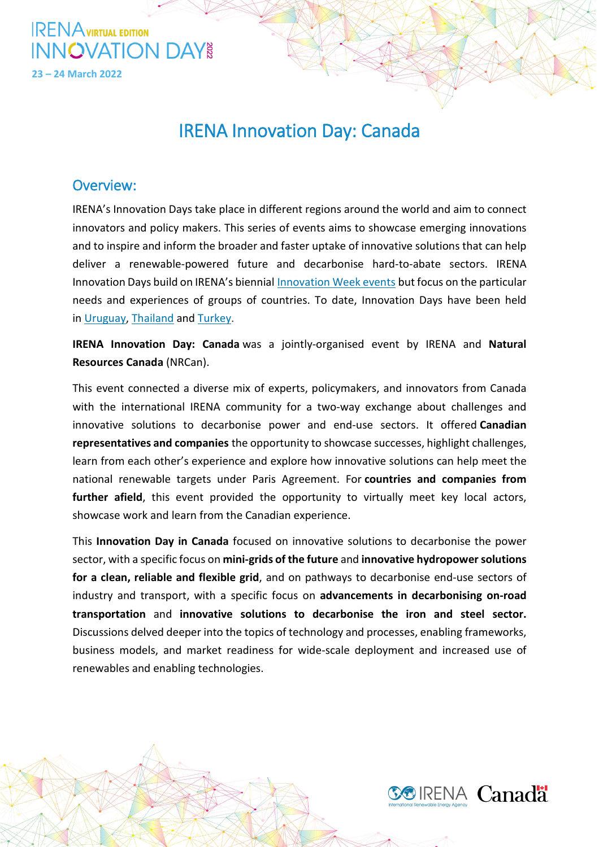

## IRENA Innovation Day: Canada

### Overview:

IRENA's Innovation Days take place in different regions around the world and aim to connect innovators and policy makers. This series of events aims to showcase emerging innovations and to inspire and inform the broader and faster uptake of innovative solutions that can help deliver a renewable-powered future and decarbonise hard-to-abate sectors. IRENA Innovation Days build on IRENA's biennial [Innovation Week events](https://innovationweek.irena.org/) but focus on the particular needs and experiences of groups of countries. To date, Innovation Days have been held in [Uruguay,](https://irena.org/events/2019/Jul/IRENA-Innovation-Day-Solutions-for-a-renewable-powered-future) [Thailand](https://irena.org/events/2019/Sep/IRENA-Innovation-Day-on-Solutions-for-a-renewable-powered-future) and [Turkey.](https://irena.org/events/2019/Nov/IRENA-Innovation-Day-Solutions-for-a-renewable-powered-future)

**IRENA Innovation Day: Canada** was a jointly-organised event by IRENA and **Natural Resources Canada** (NRCan).

This event connected a diverse mix of experts, policymakers, and innovators from Canada with the international IRENA community for a two-way exchange about challenges and innovative solutions to decarbonise power and end-use sectors. It offered **Canadian representatives and companies** the opportunity to showcase successes, highlight challenges, learn from each other's experience and explore how innovative solutions can help meet the national renewable targets under Paris Agreement. For **countries and companies from further afield**, this event provided the opportunity to virtually meet key local actors, showcase work and learn from the Canadian experience.

This **Innovation Day in Canada** focused on innovative solutions to decarbonise the power sector, with a specific focus on **mini-grids of the future** and **innovative hydropower solutions for a clean, reliable and flexible grid**, and on pathways to decarbonise end-use sectors of industry and transport, with a specific focus on **advancements in decarbonising on-road transportation** and **innovative solutions to decarbonise the iron and steel sector.**  Discussions delved deeper into the topics of technology and processes, enabling frameworks, business models, and market readiness for wide-scale deployment and increased use of renewables and enabling technologies.

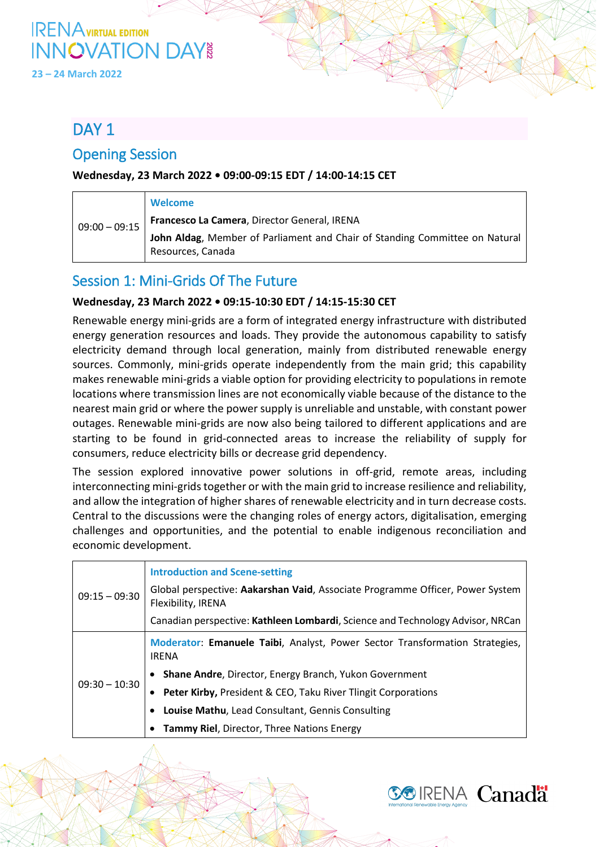# **IRENA** VIRTUAL EDITION **INNOVATION DAY**<br>23 – 24 March 2022

## DAY<sub>1</sub>

## Opening Session

### **Wednesday, 23 March 2022 • 09:00-09:15 EDT / 14:00-14:15 CET**

| $09:00 - 09:15$ | Welcome                                                                                          |
|-----------------|--------------------------------------------------------------------------------------------------|
|                 | Francesco La Camera, Director General, IRENA                                                     |
|                 | John Aldag, Member of Parliament and Chair of Standing Committee on Natural<br>Resources, Canada |

### Session 1: Mini-Grids Of The Future

### **Wednesday, 23 March 2022 • 09:15-10:30 EDT / 14:15-15:30 CET**

Renewable energy mini-grids are a form of integrated energy infrastructure with distributed energy generation resources and loads. They provide the autonomous capability to satisfy electricity demand through local generation, mainly from distributed renewable energy sources. Commonly, mini-grids operate independently from the main grid; this capability makes renewable mini-grids a viable option for providing electricity to populations in remote locations where transmission lines are not economically viable because of the distance to the nearest main grid or where the power supply is unreliable and unstable, with constant power outages. Renewable mini-grids are now also being tailored to different applications and are starting to be found in grid-connected areas to increase the reliability of supply for consumers, reduce electricity bills or decrease grid dependency.

The session explored innovative power solutions in off-grid, remote areas, including interconnecting mini-grids together or with the main grid to increase resilience and reliability, and allow the integration of higher shares of renewable electricity and in turn decrease costs. Central to the discussions were the changing roles of energy actors, digitalisation, emerging challenges and opportunities, and the potential to enable indigenous reconciliation and economic development.

| $09:15 - 09:30$ | <b>Introduction and Scene-setting</b>                                                               |
|-----------------|-----------------------------------------------------------------------------------------------------|
|                 | Global perspective: Aakarshan Vaid, Associate Programme Officer, Power System<br>Flexibility, IRENA |
|                 | Canadian perspective: Kathleen Lombardi, Science and Technology Advisor, NRCan                      |
| $09:30 - 10:30$ | Moderator: Emanuele Taibi, Analyst, Power Sector Transformation Strategies,<br><b>IRENA</b>         |
|                 | Shane Andre, Director, Energy Branch, Yukon Government                                              |
|                 | <b>Peter Kirby, President &amp; CEO, Taku River Tlingit Corporations</b>                            |
|                 | Louise Mathu, Lead Consultant, Gennis Consulting                                                    |
|                 | Tammy Riel, Director, Three Nations Energy                                                          |

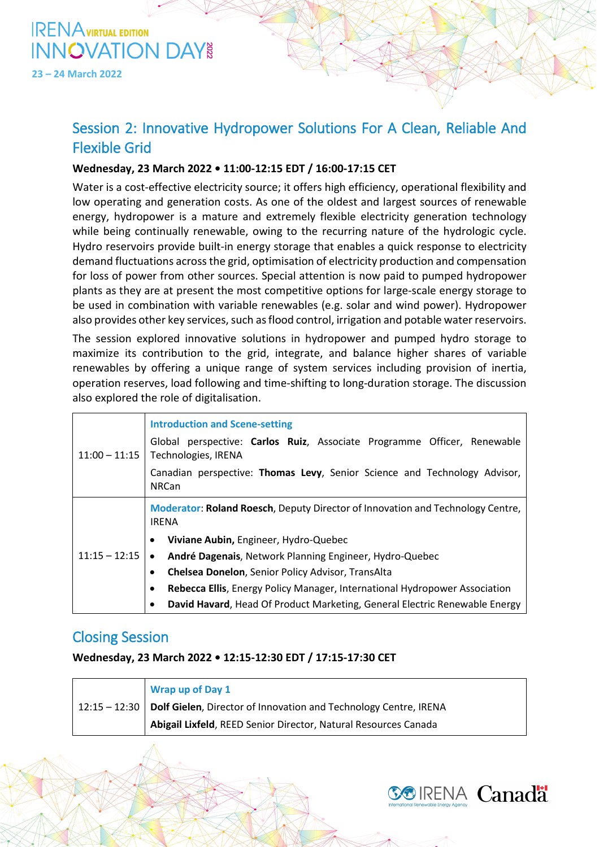

**23 – 24 March 2022**

## Session 2: Innovative Hydropower Solutions For A Clean, Reliable And Flexible Grid

### **Wednesday, 23 March 2022 • 11:00-12:15 EDT / 16:00-17:15 CET**

Water is a cost-effective electricity source; it offers high efficiency, operational flexibility and low operating and generation costs. As one of the oldest and largest sources of renewable energy, hydropower is a mature and extremely flexible electricity generation technology while being continually renewable, owing to the recurring nature of the hydrologic cycle. Hydro reservoirs provide built-in energy storage that enables a quick response to electricity demand fluctuations across the grid, optimisation of electricity production and compensation for loss of power from other sources. Special attention is now paid to pumped hydropower plants as they are at present the most competitive options for large-scale energy storage to be used in combination with variable renewables (e.g. solar and wind power). Hydropower also provides other key services, such as flood control, irrigation and potable water reservoirs.

The session explored innovative solutions in hydropower and pumped hydro storage to maximize its contribution to the grid, integrate, and balance higher shares of variable renewables by offering a unique range of system services including provision of inertia, operation reserves, load following and time-shifting to long-duration storage. The discussion also explored the role of digitalisation.

| $11:00 - 11:15$ | <b>Introduction and Scene-setting</b><br>Global perspective: Carlos Ruiz, Associate Programme Officer, Renewable<br>Technologies, IRENA |
|-----------------|-----------------------------------------------------------------------------------------------------------------------------------------|
|                 | Canadian perspective: Thomas Levy, Senior Science and Technology Advisor,<br><b>NRCan</b>                                               |
| $11:15 - 12:15$ | Moderator: Roland Roesch, Deputy Director of Innovation and Technology Centre,<br><b>IRENA</b>                                          |
|                 | Viviane Aubin, Engineer, Hydro-Quebec<br>$\bullet$                                                                                      |
|                 | André Dagenais, Network Planning Engineer, Hydro-Quebec<br>$\bullet$                                                                    |
|                 | <b>Chelsea Donelon, Senior Policy Advisor, TransAlta</b>                                                                                |
|                 | Rebecca Ellis, Energy Policy Manager, International Hydropower Association                                                              |
|                 | David Havard, Head Of Product Marketing, General Electric Renewable Energy                                                              |

### Closing Session

#### **Wednesday, 23 March 2022 • 12:15-12:30 EDT / 17:15-17:30 CET**

|  | Wrap up of Day 1                                                                         |
|--|------------------------------------------------------------------------------------------|
|  | $\vert$ 12:15 – 12:30   Dolf Gielen, Director of Innovation and Technology Centre, IRENA |
|  | Abigail Lixfeld, REED Senior Director, Natural Resources Canada                          |

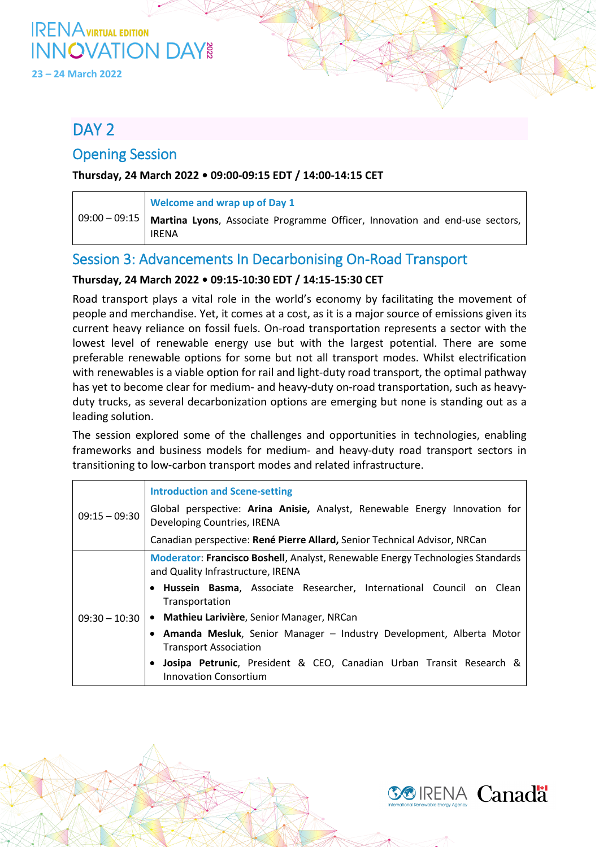# **IRENA** VIRTUAL EDITION **INNOVATION DAY**<br>23 – 24 March 2022

## DAY<sub>2</sub>

### Opening Session

### **Thursday, 24 March 2022 • 09:00-09:15 EDT / 14:00-14:15 CET**

| Welcome and wrap up of Day 1                                                                           |
|--------------------------------------------------------------------------------------------------------|
| 09:00 - 09:15   Martina Lyons, Associate Programme Officer, Innovation and end-use sectors, I<br>IRENA |

## Session 3: Advancements In Decarbonising On-Road Transport

### **Thursday, 24 March 2022 • 09:15-10:30 EDT / 14:15-15:30 CET**

Road transport plays a vital role in the world's economy by facilitating the movement of people and merchandise. Yet, it comes at a cost, as it is a major source of emissions given its current heavy reliance on fossil fuels. On-road transportation represents a sector with the lowest level of renewable energy use but with the largest potential. There are some preferable renewable options for some but not all transport modes. Whilst electrification with renewables is a viable option for rail and light-duty road transport, the optimal pathway has yet to become clear for medium- and heavy-duty on-road transportation, such as heavyduty trucks, as several decarbonization options are emerging but none is standing out as a leading solution.

The session explored some of the challenges and opportunities in technologies, enabling frameworks and business models for medium- and heavy-duty road transport sectors in transitioning to low-carbon transport modes and related infrastructure.

| $09:15 - 09:30$ | <b>Introduction and Scene-setting</b>                                                                               |
|-----------------|---------------------------------------------------------------------------------------------------------------------|
|                 | Global perspective: Arina Anisie, Analyst, Renewable Energy Innovation for<br>Developing Countries, IRENA           |
|                 | Canadian perspective: René Pierre Allard, Senior Technical Advisor, NRCan                                           |
| $09:30 - 10:30$ | Moderator: Francisco Boshell, Analyst, Renewable Energy Technologies Standards<br>and Quality Infrastructure, IRENA |
|                 | • Hussein Basma, Associate Researcher, International Council on Clean<br>Transportation                             |
|                 | • Mathieu Larivière, Senior Manager, NRCan                                                                          |
|                 | Amanda Mesluk, Senior Manager - Industry Development, Alberta Motor<br><b>Transport Association</b>                 |
|                 | Josipa Petrunic, President & CEO, Canadian Urban Transit Research &<br><b>Innovation Consortium</b>                 |